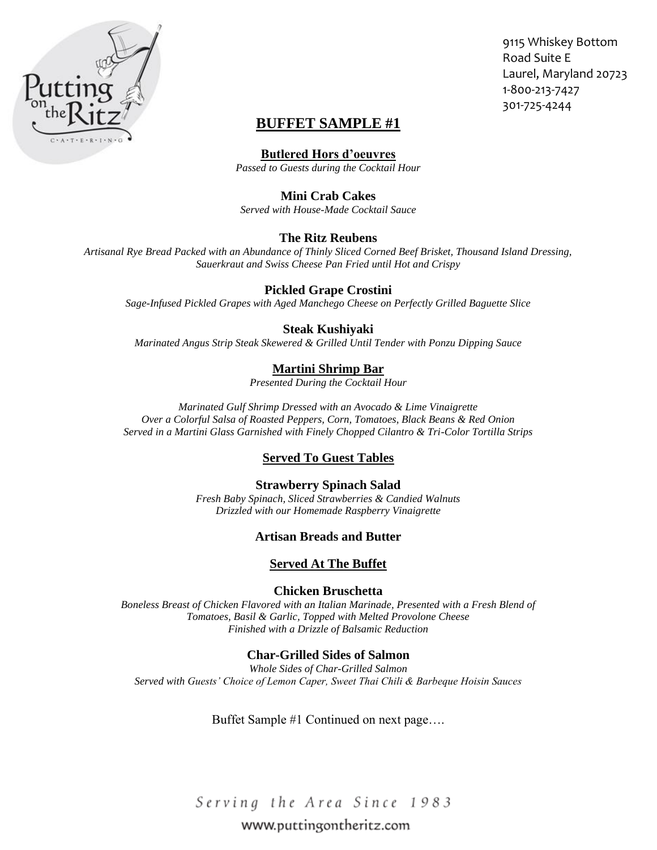

9115 Whiskey Bottom Road Suite E Laurel, Maryland 20723 1-800-213-7427 301-725-4244

# **BUFFET SAMPLE #1**

**Butlered Hors d'oeuvres**

*Passed to Guests during the Cocktail Hour*

### **Mini Crab Cakes**

*Served with House-Made Cocktail Sauce*

## **The Ritz Reubens**

*Artisanal Rye Bread Packed with an Abundance of Thinly Sliced Corned Beef Brisket, Thousand Island Dressing, Sauerkraut and Swiss Cheese Pan Fried until Hot and Crispy*

## **Pickled Grape Crostini**

*Sage-Infused Pickled Grapes with Aged Manchego Cheese on Perfectly Grilled Baguette Slice*

## **Steak Kushiyaki**

*Marinated Angus Strip Steak Skewered & Grilled Until Tender with Ponzu Dipping Sauce*

## **Martini Shrimp Bar**

*Presented During the Cocktail Hour*

*Marinated Gulf Shrimp Dressed with an Avocado & Lime Vinaigrette Over a Colorful Salsa of Roasted Peppers, Corn, Tomatoes, Black Beans & Red Onion Served in a Martini Glass Garnished with Finely Chopped Cilantro & Tri-Color Tortilla Strips*

## **Served To Guest Tables**

**Strawberry Spinach Salad** *Fresh Baby Spinach, Sliced Strawberries & Candied Walnuts Drizzled with our Homemade Raspberry Vinaigrette*

## **Artisan Breads and Butter**

### **Served At The Buffet**

**Chicken Bruschetta**

*Boneless Breast of Chicken Flavored with an Italian Marinade, Presented with a Fresh Blend of Tomatoes, Basil & Garlic, Topped with Melted Provolone Cheese Finished with a Drizzle of Balsamic Reduction*

## **Char-Grilled Sides of Salmon**

*Whole Sides of Char-Grilled Salmon Served with Guests' Choice of Lemon Caper, Sweet Thai Chili & Barbeque Hoisin Sauces*

Buffet Sample #1 Continued on next page….

Serving the Area Since 1983

## www.puttingontheritz.com